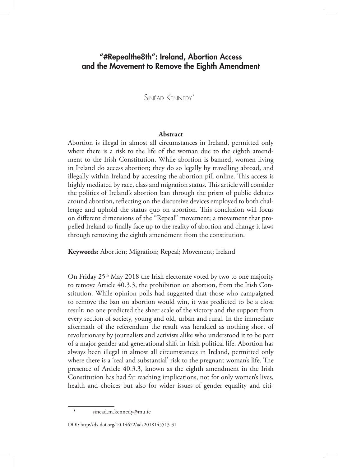Sinéad Kennedy\*1

# **Abstract**

Abortion is illegal in almost all circumstances in Ireland, permitted only where there is a risk to the life of the woman due to the eighth amendment to the Irish Constitution. While abortion is banned, women living in Ireland do access abortion; they do so legally by travelling abroad, and illegally within Ireland by accessing the abortion pill online. This access is highly mediated by race, class and migration status. This article will consider the politics of Ireland's abortion ban through the prism of public debates around abortion, reflecting on the discursive devices employed to both challenge and uphold the status quo on abortion. This conclusion will focus on different dimensions of the "Repeal" movement; a movement that propelled Ireland to finally face up to the reality of abortion and change it laws through removing the eighth amendment from the constitution.

**Keywords:** Abortion; Migration; Repeal; Movement; Ireland

On Friday 25<sup>th</sup> May 2018 the Irish electorate voted by two to one majority to remove Article 40.3.3, the prohibition on abortion, from the Irish Constitution. While opinion polls had suggested that those who campaigned to remove the ban on abortion would win, it was predicted to be a close result; no one predicted the sheer scale of the victory and the support from every section of society, young and old, urban and rural. In the immediate aftermath of the referendum the result was heralded as nothing short of revolutionary by journalists and activists alike who understood it to be part of a major gender and generational shift in Irish political life. Abortion has always been illegal in almost all circumstances in Ireland, permitted only where there is a 'real and substantial' risk to the pregnant woman's life. The presence of Article 40.3.3, known as the eighth amendment in the Irish Constitution has had far reaching implications, not for only women's lives, health and choices but also for wider issues of gender equality and citi-

sinead.m.kennedy@mu.ie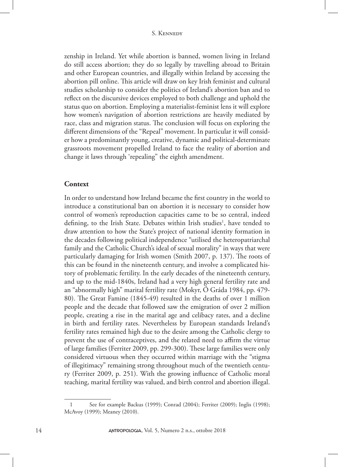zenship in Ireland. Yet while abortion is banned, women living in Ireland do still access abortion; they do so legally by travelling abroad to Britain and other European countries, and illegally within Ireland by accessing the abortion pill online. This article will draw on key Irish feminist and cultural studies scholarship to consider the politics of Ireland's abortion ban and to reflect on the discursive devices employed to both challenge and uphold the status quo on abortion. Employing a materialist-feminist lens it will explore how women's navigation of abortion restrictions are heavily mediated by race, class and migration status. The conclusion will focus on exploring the different dimensions of the "Repeal" movement. In particular it will consider how a predominantly young, creative, dynamic and political-determinate grassroots movement propelled Ireland to face the reality of abortion and change it laws through 'repealing" the eighth amendment.

# **Context**

In order to understand how Ireland became the first country in the world to introduce a constitutional ban on abortion it is necessary to consider how control of women's reproduction capacities came to be so central, indeed defining, to the Irish State. Debates within Irish studies<sup>1</sup>, have tended to draw attention to how the State's project of national identity formation in the decades following political independence "utilised the heteropatriarchal family and the Catholic Church's ideal of sexual morality" in ways that were particularly damaging for Irish women (Smith 2007, p. 137). The roots of this can be found in the nineteenth century, and involve a complicated history of problematic fertility. In the early decades of the nineteenth century, and up to the mid-1840s, Ireland had a very high general fertility rate and an "abnormally high" marital fertility rate (Mokyr, Ó Gráda 1984, pp. 479- 80). The Great Famine (1845-49) resulted in the deaths of over 1 million people and the decade that followed saw the emigration of over 2 million people, creating a rise in the marital age and celibacy rates, and a decline in birth and fertility rates. Nevertheless by European standards Ireland's fertility rates remained high due to the desire among the Catholic clergy to prevent the use of contraceptives, and the related need to affirm the virtue of large families (Ferriter 2009, pp. 299-300). These large families were only considered virtuous when they occurred within marriage with the "stigma of illegitimacy" remaining strong throughout much of the twentieth century (Ferriter 2009, p. 251). With the growing influence of Catholic moral teaching, marital fertility was valued, and birth control and abortion illegal.

<sup>1</sup> See for example Backus (1999); Conrad (2004); Ferriter (2009); Inglis (1998); McAvoy (1999); Meaney (2010).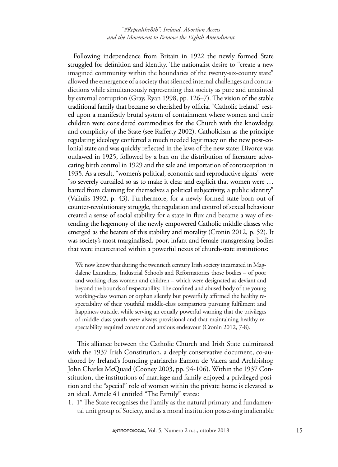Following independence from Britain in 1922 the newly formed State struggled for definition and identity. The nationalist desire to "create a new imagined community within the boundaries of the twenty-six-county state" allowed the emergence of a society that silenced internal challenges and contradictions while simultaneously representing that society as pure and untainted by external corruption (Gray, Ryan 1998, pp. 126–7). The vision of the stable traditional family that became so cherished by official "Catholic Ireland" rested upon a manifestly brutal system of containment where women and their children were considered commodities for the Church with the knowledge and complicity of the State (see Rafferty 2002). Catholicism as the principle regulating ideology conferred a much needed legitimacy on the new post-colonial state and was quickly reflected in the laws of the new state: Divorce was outlawed in 1925, followed by a ban on the distribution of literature advocating birth control in 1929 and the sale and importation of contraception in 1935. As a result, "women's political, economic and reproductive rights" were "so severely curtailed so as to make it clear and explicit that women were … barred from claiming for themselves a political subjectivity, a public identity" (Valiulis 1992, p. 43). Furthermore, for a newly formed state born out of counter-revolutionary struggle, the regulation and control of sexual behaviour created a sense of social stability for a state in flux and became a way of extending the hegemony of the newly empowered Catholic middle classes who emerged as the bearers of this stability and morality (Cronin 2012, p. 52). It was society's most marginalised, poor, infant and female transgressing bodies that were incarcerated within a powerful nexus of church-state institutions:

We now know that during the twentieth century Irish society incarnated in Magdalene Laundries, Industrial Schools and Reformatories those bodies – of poor and working class women and children – which were designated as deviant and beyond the bounds of respectability. The confined and abused body of the young working-class woman or orphan silently but powerfully affirmed the healthy respectability of their youthful middle-class compatriots pursuing fulfilment and happiness outside, while serving an equally powerful warning that the privileges of middle class youth were always provisional and that maintaining healthy respectability required constant and anxious endeavour (Cronin 2012, 7-8).

This alliance between the Catholic Church and Irish State culminated with the 1937 Irish Constitution, a deeply conservative document, co-authored by Ireland's founding patriarchs Eamon de Valera and Archbishop John Charles McQuaid (Cooney 2003, pp. 94-106). Within the 1937 Constitution, the institutions of marriage and family enjoyed a privileged position and the "special" role of women within the private home is elevated as an ideal. Article 41 entitled "The Family" states:

1. 1° The State recognises the Family as the natural primary and fundamental unit group of Society, and as a moral institution possessing inalienable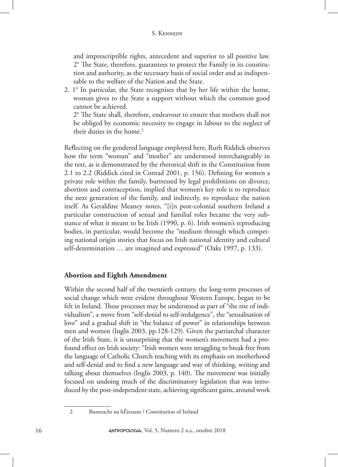and imprescriptible rights, antecedent and superior to all positive law. 2° The State, therefore, guarantees to protect the Family in its constitution and authority, as the necessary basis of social order and as indispensable to the welfare of the Nation and the State.

2. 1° In particular, the State recognises that by her life within the home, woman gives to the State a support without which the common good cannot be achieved.

3. 2° The State shall, therefore, endeavour to ensure that mothers shall not be obliged by economic necessity to engage in labour to the neglect of their duties in the home.<sup>2</sup>

Reflecting on the gendered language employed here, Ruth Riddick observes how the term "woman" and "mother" are understood interchangeably in the text, as is demonstrated by the rhetorical shift in the Constitution from 2.1 to 2.2 (Riddick cited in Conrad 2001, p. 156). Defining for women a private role within the family, buttressed by legal prohibitions on divorce, abortion and contraception, implied that women's key role is to reproduce the next generation of the family, and indirectly, to reproduce the nation itself. As Geraldine Meaney notes, "[i]n post-colonial southern Ireland a particular construction of sexual and familial roles became the very substance of what it meant to be Irish (1990, p. 6). Irish women's reproducing bodies, in particular, would become the "medium through which competing national origin stories that focus on Irish national identity and cultural self-determination … are imagined and expressed" (Oaks 1997, p. 133).

# **Abortion and Eighth Amendment**

Within the second half of the twentieth century, the long-term processes of social change which were evident throughout Western Europe, began to be felt in Ireland. These processes may be understood as part of "the rise of individualism", a move from "self-denial to self-indulgence", the "sexualisation of love" and a gradual shift in "the balance of power" in relationships between men and women (Inglis 2003, pp.128-129). Given the patriarchal character of the Irish State, it is unsurprising that the women's movement had a profound effect on Irish society: "Irish women were struggling to break free from the language of Catholic Church teaching with its emphasis on motherhood and self-denial and to find a new language and way of thinking, writing and talking about themselves (Inglis 2003, p. 140). The movement was initially focused on undoing much of the discriminatory legislation that was introduced by the post-independent state, achieving significant gains, around work

<sup>2</sup> Bunreacht na hÉireann / Constitution of Ireland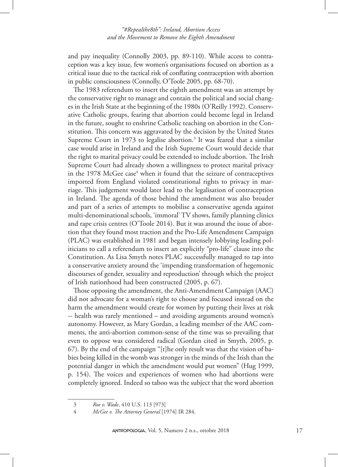and pay inequality (Connolly 2003, pp. 89-110). While access to contraception was a key issue, few women's organisations focused on abortion as a critical issue due to the tactical risk of conflating contraception with abortion in public consciousness (Connolly, O'Toole 2005, pp. 68-70).

The 1983 referendum to insert the eighth amendment was an attempt by the conservative right to manage and contain the political and social changes in the Irish State at the beginning of the 1980s (O'Reilly 1992). Conservative Catholic groups, fearing that abortion could become legal in Ireland in the future, sought to enshrine Catholic teaching on abortion in the Constitution. This concern was aggravated by the decision by the United States Supreme Court in 1973 to legalise abortion.<sup>3</sup> It was feared that a similar case would arise in Ireland and the Irish Supreme Court would decide that the right to marital privacy could be extended to include abortion. The Irish Supreme Court had already shown a willingness to protect marital privacy in the 1978 McGee case<sup>4</sup> when it found that the seizure of contraceptives imported from England violated constitutional rights to privacy in marriage. This judgement would later lead to the legalisation of contraception in Ireland. The agenda of those behind the amendment was also broader and part of a series of attempts to mobilise a conservative agenda against multi-denominational schools, 'immoral' TV shows, family planning clinics and rape crisis centres (O'Toole 2014). But it was around the issue of abortion that they found most traction and the Pro-Life Amendment Campaign (PLAC) was established in 1981 and began intensely lobbying leading politicians to call a referendum to insert an explicitly "pro-life" clause into the Constitution. As Lisa Smyth notes PLAC successfully managed to tap into a conservative anxiety around the 'impending transformation of hegemonic discourses of gender, sexuality and reproduction' through which the project of Irish nationhood had been constructed (2005, p. 67).

Those opposing the amendment, the Anti-Amendment Campaign (AAC) did not advocate for a woman's right to choose and focused instead on the harm the amendment would create for women by putting their lives at risk -- health was rarely mentioned – and avoiding arguments around women's autonomy. However, as Mary Gordan, a leading member of the AAC comments, the anti-abortion common-sense of the time was so prevailing that even to oppose was considered radical (Gordan cited in Smyth, 2005, p. 67). By the end of the campaign "[t]he only result was that the vision of babies being killed in the womb was stronger in the minds of the Irish than the potential danger in which the amendment would put women" (Hug 1999, p. 154). The voices and experiences of women who had abortions were completely ignored. Indeed so taboo was the subject that the word abortion

<sup>3</sup> *Roe v. Wade*, 410 U.S. 113 [973]

<sup>4</sup> *McGee v. The Attorney General* [1974] IR 284.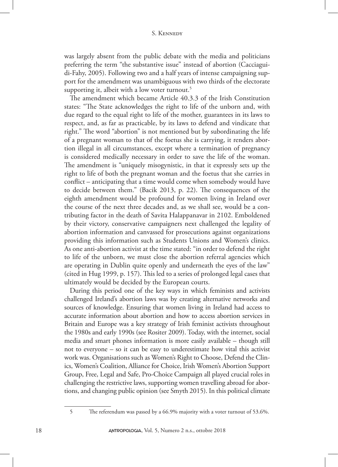#### S. Kennedy

was largely absent from the public debate with the media and politicians preferring the term "the substantive issue" instead of abortion (Cacciaguidi-Fahy, 2005). Following two and a half years of intense campaigning support for the amendment was unambiguous with two thirds of the electorate supporting it, albeit with a low voter turnout.<sup>5</sup>

The amendment which became Article 40.3.3 of the Irish Constitution states: "The State acknowledges the right to life of the unborn and, with due regard to the equal right to life of the mother, guarantees in its laws to respect, and, as far as practicable, by its laws to defend and vindicate that right." The word "abortion" is not mentioned but by subordinating the life of a pregnant woman to that of the foetus she is carrying, it renders abortion illegal in all circumstances, except where a termination of pregnancy is considered medically necessary in order to save the life of the woman. The amendment is "uniquely misogynistic, in that it expressly sets up the right to life of both the pregnant woman and the foetus that she carries in conflict – anticipating that a time would come when somebody would have to decide between them." (Bacik 2013, p. 22). The consequences of the eighth amendment would be profound for women living in Ireland over the course of the next three decades and, as we shall see, would be a contributing factor in the death of Savita Halappanavar in 2102. Emboldened by their victory, conservative campaigners next challenged the legality of abortion information and canvassed for prosecutions against organizations providing this information such as Students Unions and Women's clinics. As one anti-abortion activist at the time stated: "in order to defend the right to life of the unborn, we must close the abortion referral agencies which are operating in Dublin quite openly and underneath the eyes of the law" (cited in Hug 1999, p. 157). This led to a series of prolonged legal cases that ultimately would be decided by the European courts.

During this period one of the key ways in which feminists and activists challenged Ireland's abortion laws was by creating alternative networks and sources of knowledge. Ensuring that women living in Ireland had access to accurate information about abortion and how to access abortion services in Britain and Europe was a key strategy of Irish feminist activists throughout the 1980s and early 1990s (see Rositer 2009). Today, with the internet, social media and smart phones information is more easily available – though still not to everyone – so it can be easy to underestimate how vital this activist work was. Organisations such as Women's Right to Choose, Defend the Clinics, Women's Coalition, Alliance for Choice, Irish Women's Abortion Support Group, Free, Legal and Safe, Pro-Choice Campaign all played crucial roles in challenging the restrictive laws, supporting women travelling abroad for abortions, and changing public opinion (see Smyth 2015). In this political climate

<sup>5</sup> The referendum was passed by a 66.9% majority with a voter turnout of 53.6%.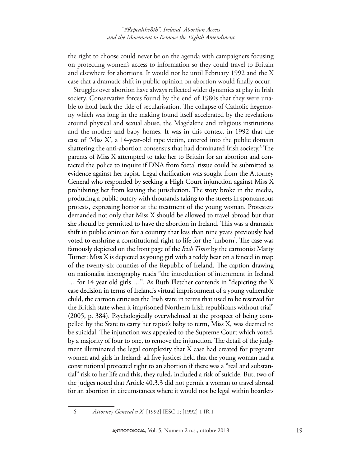the right to choose could never be on the agenda with campaigners focusing on protecting women's access to information so they could travel to Britain and elsewhere for abortions. It would not be until February 1992 and the X case that a dramatic shift in public opinion on abortion would finally occur.

Struggles over abortion have always reflected wider dynamics at play in Irish society. Conservative forces found by the end of 1980s that they were unable to hold back the tide of secularisation. The collapse of Catholic hegemony which was long in the making found itself accelerated by the revelations around physical and sexual abuse, the Magdalene and religious institutions and the mother and baby homes. It was in this context in 1992 that the case of 'Miss X', a 14-year-old rape victim, entered into the public domain shattering the anti-abortion consensus that had dominated Irish society.6 The parents of Miss X attempted to take her to Britain for an abortion and contacted the police to inquire if DNA from foetal tissue could be submitted as evidence against her rapist. Legal clarification was sought from the Attorney General who responded by seeking a High Court injunction against Miss X prohibiting her from leaving the jurisdiction. The story broke in the media, producing a public outcry with thousands taking to the streets in spontaneous protests, expressing horror at the treatment of the young woman. Protesters demanded not only that Miss X should be allowed to travel abroad but that she should be permitted to have the abortion in Ireland. This was a dramatic shift in public opinion for a country that less than nine years previously had voted to enshrine a constitutional right to life for the 'unborn'. The case was famously depicted on the front page of the *Irish Times* by the cartoonist Marty Turner: Miss X is depicted as young girl with a teddy bear on a fenced in map of the twenty-six counties of the Republic of Ireland. The caption drawing on nationalist iconography reads "the introduction of internment in Ireland … for 14 year old girls …". As Ruth Fletcher contends in "depicting the X case decision in terms of Ireland's virtual imprisonment of a young vulnerable child, the cartoon criticises the Irish state in terms that used to be reserved for the British state when it imprisoned Northern Irish republicans without trial" (2005, p. 384). Psychologically overwhelmed at the prospect of being compelled by the State to carry her rapist's baby to term, Miss X, was deemed to be suicidal. The injunction was appealed to the Supreme Court which voted, by a majority of four to one, to remove the injunction. The detail of the judgment illuminated the legal complexity that X case had created for pregnant women and girls in Ireland: all five justices held that the young woman had a constitutional protected right to an abortion if there was a "real and substantial" risk to her life and this, they ruled, included a risk of suicide. But, two of the judges noted that Article 40.3.3 did not permit a woman to travel abroad for an abortion in circumstances where it would not be legal within boarders

<sup>6</sup> *Attorney General v X*, [1992] IESC 1; [1992] 1 IR 1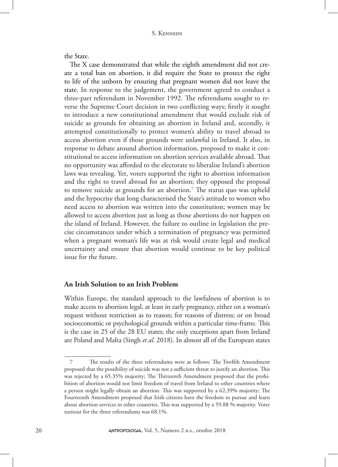the State.

The X case demonstrated that while the eighth amendment did not create a total ban on abortion, it did require the State to protect the right to life of the unborn by ensuring that pregnant women did not leave the state. In response to the judgement, the government agreed to conduct a three-part referendum in November 1992. The referendums sought to reverse the Supreme Court decision in two conflicting ways; firstly it sought to introduce a new constitutional amendment that would exclude risk of suicide as grounds for obtaining an abortion in Ireland and, secondly, it attempted constitutionally to protect women's ability to travel abroad to access abortion even if those grounds were unlawful in Ireland. It also, in response to debate around abortion information, proposed to make it constitutional to access information on abortion services available abroad. That no opportunity was afforded to the electorate to liberalise Ireland's abortion laws was revealing. Yet, voters supported the right to abortion information and the right to travel abroad for an abortion; they opposed the proposal to remove suicide as grounds for an abortion.<sup>7</sup> The status quo was upheld and the hypocrisy that long characterised the State's attitude to women who need access to abortion was written into the constitution; women may be allowed to access abortion just as long as those abortions do not happen on the island of Ireland. However, the failure to outline in legislation the precise circumstances under which a termination of pregnancy was permitted when a pregnant woman's life was at risk would create legal and medical uncertainty and ensure that abortion would continue to be key political issue for the future.

# **An Irish Solution to an Irish Problem**

Within Europe, the standard approach to the lawfulness of abortion is to make access to abortion legal, at least in early pregnancy, either on a woman's request without restriction as to reason; for reasons of distress; or on broad socioeconomic or psychological grounds within a particular time-frame. This is the case in 25 of the 28 EU states; the only exceptions apart from Ireland are Poland and Malta (Singh *et al.* 2018). In almost all of the European states

<sup>7</sup> The results of the three referendums were as follows: The Twelfth Amendment proposed that the possibility of suicide was not a sufficient threat to justify an abortion. This was rejected by a 65.35% majority; The Thirteenth Amendment proposed that the prohibition of abortion would not limit freedom of travel from Ireland to other countries where a person might legally obtain an abortion. This was supported by a 62.39% majority; The Fourteenth Amendment proposed that Irish citizens have the freedom to pursue and learn about abortion services in other countries. This was supported by a 59.88 % majority. Voter turnout for the three referendums was 68.1%.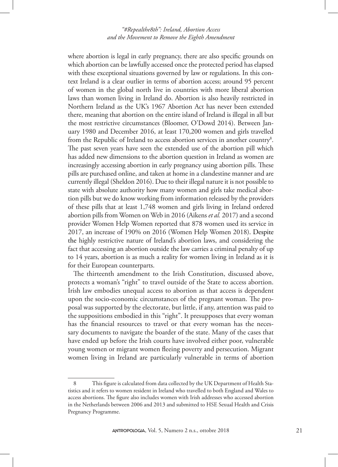where abortion is legal in early pregnancy, there are also specific grounds on which abortion can be lawfully accessed once the protected period has elapsed with these exceptional situations governed by law or regulations. In this context Ireland is a clear outlier in terms of abortion access; around 95 percent of women in the global north live in countries with more liberal abortion laws than women living in Ireland do. Abortion is also heavily restricted in Northern Ireland as the UK's 1967 Abortion Act has never been extended there, meaning that abortion on the entire island of Ireland is illegal in all but the most restrictive circumstances (Bloomer, O'Dowd 2014). Between January 1980 and December 2016, at least 170,200 women and girls travelled from the Republic of Ireland to access abortion services in another country8 . The past seven years have seen the extended use of the abortion pill which has added new dimensions to the abortion question in Ireland as women are increasingly accessing abortion in early pregnancy using abortion pills. These pills are purchased online, and taken at home in a clandestine manner and are currently illegal (Sheldon 2016). Due to their illegal nature it is not possible to state with absolute authority how many women and girls take medical abortion pills but we do know working from information released by the providers of these pills that at least 1,748 women and girls living in Ireland ordered abortion pills from Women on Web in 2016 (Aikens *et al.* 2017) and a second provider Women Help Women reported that 878 women used its service in 2017, an increase of 190% on 2016 (Women Help Women 2018). Despite the highly restrictive nature of Ireland's abortion laws, and considering the fact that accessing an abortion outside the law carries a criminal penalty of up to 14 years, abortion is as much a reality for women living in Ireland as it is for their European counterparts.

The thirteenth amendment to the Irish Constitution, discussed above, protects a woman's "right" to travel outside of the State to access abortion. Irish law embodies unequal access to abortion as that access is dependent upon the socio-economic circumstances of the pregnant woman. The proposal was supported by the electorate, but little, if any, attention was paid to the suppositions embodied in this "right". It presupposes that every woman has the financial resources to travel or that every woman has the necessary documents to navigate the boarder of the state. Many of the cases that have ended up before the Irish courts have involved either poor, vulnerable young women or migrant women fleeing poverty and persecution. Migrant women living in Ireland are particularly vulnerable in terms of abortion

This figure is calculated from data collected by the UK Department of Health Statistics and it refers to women resident in Ireland who travelled to both England and Wales to access abortions. The figure also includes women with Irish addresses who accessed abortion in the Netherlands between 2006 and 2013 and submitted to HSE Sexual Health and Crisis Pregnancy Programme.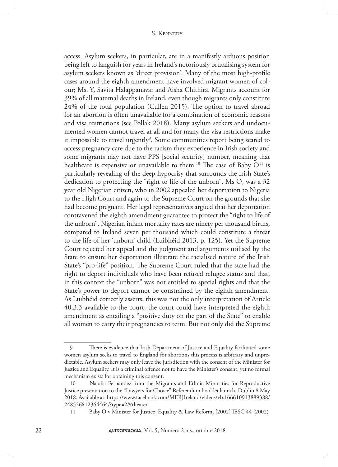access. Asylum seekers, in particular, are in a manifestly arduous position being left to languish for years in Ireland's notoriously brutalising system for asylum seekers known as 'direct provision'. Many of the most high-profile cases around the eighth amendment have involved migrant women of colour; Ms. Y, Savita Halappanavar and Aisha Chithira. Migrants account for 39% of all maternal deaths in Ireland, even though migrants only constitute 24% of the total population (Cullen 2015). The option to travel abroad for an abortion is often unavailable for a combination of economic reasons and visa restrictions (see Pollak 2018). Many asylum seekers and undocumented women cannot travel at all and for many the visa restrictions make it impossible to travel urgently<sup>9</sup>. Some communities report being scared to access pregnancy care due to the racism they experience in Irish society and some migrants may not have PPS [social security] number, meaning that healthcare is expensive or unavailable to them.<sup>10</sup> The case of Baby  $O^{11}$  is particularly revealing of the deep hypocrisy that surrounds the Irish State's dedication to protecting the "right to life of the unborn". Ms O, was a 32 year old Nigerian citizen, who in 2002 appealed her deportation to Nigeria to the High Court and again to the Supreme Court on the grounds that she had become pregnant. Her legal representatives argued that her deportation contravened the eighth amendment guarantee to protect the "right to life of the unborn". Nigerian infant mortality rates are ninety per thousand births, compared to Ireland seven per thousand which could constitute a threat to the life of her 'unborn' child (Luibhéid 2013, p. 125). Yet the Supreme Court rejected her appeal and the judgment and arguments utilised by the State to ensure her deportation illustrate the racialised nature of the Irish State's "pro-life" position. The Supreme Court ruled that the state had the right to deport individuals who have been refused refugee status and that, in this context the "unborn" was not entitled to special rights and that the State's power to deport cannot be constrained by the eighth amendment. As Luibhéid correctly asserts, this was not the only interpretation of Article 40.3.3 available to the court; the court could have interpreted the eighth amendment as entailing a "positive duty on the part of the State" to enable all women to carry their pregnancies to term. But not only did the Supreme

<sup>9</sup> There is evidence that Irish Department of Justice and Equality facilitated some women asylum seeks to travel to England for abortions this process is arbitrary and unpredictable. Asylum seekers may only leave the jurisdiction with the consent of the Minister for Justice and Equality. It is a criminal offence not to have the Minister's consent, yet no formal mechanism exists for obtaining this consent.

<sup>10</sup> Natalia Fernandez from the Migrants and Ethnic Minorities for Reproductive Justice presentation to the "Lawyers for Choice" Referendum booklet launch, Dublin 8 May 2018. Available at: https://www.facebook.com/MERJIreland/videos/vb.166610913889388/ 248526812364464/?type=2&theater

<sup>11</sup> Baby O v Minister for Justice, Equality & Law Reform, [2002] IESC 44 (2002)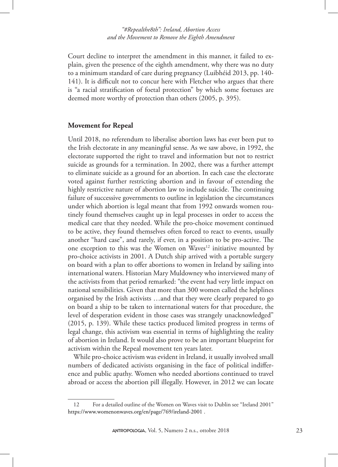Court decline to interpret the amendment in this manner, it failed to explain, given the presence of the eighth amendment, why there was no duty to a minimum standard of care during pregnancy (Luibhéid 2013, pp. 140- 141). It is difficult not to concur here with Fletcher who argues that there is "a racial stratification of foetal protection" by which some foetuses are deemed more worthy of protection than others (2005, p. 395).

#### **Movement for Repeal**

Until 2018, no referendum to liberalise abortion laws has ever been put to the Irish electorate in any meaningful sense. As we saw above, in 1992, the electorate supported the right to travel and information but not to restrict suicide as grounds for a termination. In 2002, there was a further attempt to eliminate suicide as a ground for an abortion. In each case the electorate voted against further restricting abortion and in favour of extending the highly restrictive nature of abortion law to include suicide. The continuing failure of successive governments to outline in legislation the circumstances under which abortion is legal meant that from 1992 onwards women routinely found themselves caught up in legal processes in order to access the medical care that they needed. While the pro-choice movement continued to be active, they found themselves often forced to react to events, usually another "hard case", and rarely, if ever, in a position to be pro-active. The one exception to this was the Women on Waves<sup>12</sup> initiative mounted by pro-choice activists in 2001. A Dutch ship arrived with a portable surgery on board with a plan to offer abortions to women in Ireland by sailing into international waters. Historian Mary Muldowney who interviewed many of the activists from that period remarked: "the event had very little impact on national sensibilities. Given that more than 300 women called the helplines organised by the Irish activists …and that they were clearly prepared to go on board a ship to be taken to international waters for that procedure, the level of desperation evident in those cases was strangely unacknowledged" (2015, p. 139). While these tactics produced limited progress in terms of legal change, this activism was essential in terms of highlighting the reality of abortion in Ireland. It would also prove to be an important blueprint for activism within the Repeal movement ten years later.

While pro-choice activism was evident in Ireland, it usually involved small numbers of dedicated activists organising in the face of political indifference and public apathy. Women who needed abortions continued to travel abroad or access the abortion pill illegally. However, in 2012 we can locate

<sup>12</sup> For a detailed outline of the Women on Waves visit to Dublin see "Ireland 2001" https://www.womenonwaves.org/en/page/769/ireland-2001 .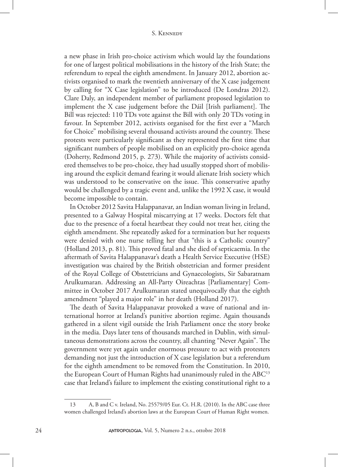a new phase in Irish pro-choice activism which would lay the foundations for one of largest political mobilisations in the history of the Irish State; the referendum to repeal the eighth amendment. In January 2012, abortion activists organised to mark the twentieth anniversary of the X case judgement by calling for "X Case legislation" to be introduced (De Londras 2012). Clare Daly, an independent member of parliament proposed legislation to implement the X case judgement before the Dáil [Irish parliament]. The Bill was rejected: 110 TDs vote against the Bill with only 20 TDs voting in favour. In September 2012, activists organised for the first ever a "March for Choice" mobilising several thousand activists around the country. These protests were particularly significant as they represented the first time that significant numbers of people mobilised on an explicitly pro-choice agenda (Doherty, Redmond 2015, p. 273). While the majority of activists considered themselves to be pro-choice, they had usually stopped short of mobilising around the explicit demand fearing it would alienate Irish society which was understood to be conservative on the issue. This conservative apathy would be challenged by a tragic event and, unlike the 1992 X case, it would become impossible to contain.

In October 2012 Savita Halappanavar, an Indian woman living in Ireland, presented to a Galway Hospital miscarrying at 17 weeks. Doctors felt that due to the presence of a foetal heartbeat they could not treat her, citing the eighth amendment. She repeatedly asked for a termination but her requests were denied with one nurse telling her that "this is a Catholic country" (Holland 2013, p. 81). This proved fatal and she died of septicaemia. In the aftermath of Savita Halappanavar's death a Health Service Executive (HSE) investigation was chaired by the British obstetrician and former president of the Royal College of Obstetricians and Gynaecologists, Sir Sabaratnam Arulkumaran. Addressing an All-Party Oireachtas [Parliamentary] Committee in October 2017 Arulkumaran stated unequivocally that the eighth amendment "played a major role" in her death (Holland 2017).

The death of Savita Halappanavar provoked a wave of national and international horror at Ireland's punitive abortion regime. Again thousands gathered in a silent vigil outside the Irish Parliament once the story broke in the media. Days later tens of thousands marched in Dublin, with simultaneous demonstrations across the country, all chanting "Never Again". The government were yet again under enormous pressure to act with protesters demanding not just the introduction of X case legislation but a referendum for the eighth amendment to be removed from the Constitution. In 2010, the European Court of Human Rights had unanimously ruled in the  $ABC^{13}$ case that Ireland's failure to implement the existing constitutional right to a

<sup>13</sup> A, B and C v. Ireland, No. 25579/05 Eur. Ct. H.R. (2010). In the ABC case three women challenged Ireland's abortion laws at the European Court of Human Right women.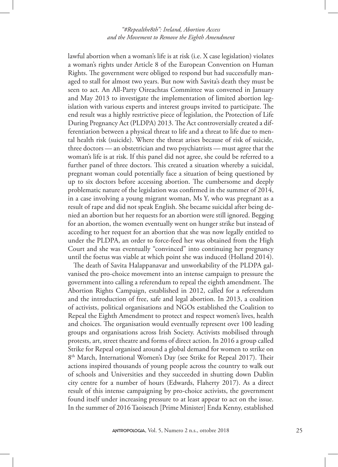lawful abortion when a woman's life is at risk (i.e. X case legislation) violates a woman's rights under Article 8 of the European Convention on Human Rights. The government were obliged to respond but had successfully managed to stall for almost two years. But now with Savita's death they must be seen to act. An All-Party Oireachtas Committee was convened in January and May 2013 to investigate the implementation of limited abortion legislation with various experts and interest groups invited to participate. The end result was a highly restrictive piece of legislation, the Protection of Life During Pregnancy Act (PLDPA) 2013. The Act controversially created a differentiation between a physical threat to life and a threat to life due to mental health risk (suicide). Where the threat arises because of risk of suicide, three doctors — an obstetrician and two psychiatrists — must agree that the woman's life is at risk. If this panel did not agree, she could be referred to a further panel of three doctors. This created a situation whereby a suicidal, pregnant woman could potentially face a situation of being questioned by up to six doctors before accessing abortion. The cumbersome and deeply problematic nature of the legislation was confirmed in the summer of 2014, in a case involving a young migrant woman, Ms Y, who was pregnant as a result of rape and did not speak English. She became suicidal after being denied an abortion but her requests for an abortion were still ignored. Begging for an abortion, the women eventually went on hunger strike but instead of acceding to her request for an abortion that she was now legally entitled to under the PLDPA, an order to force-feed her was obtained from the High Court and she was eventually "convinced" into continuing her pregnancy until the foetus was viable at which point she was induced (Holland 2014).

The death of Savita Halappanavar and unworkability of the PLDPA galvanised the pro-choice movement into an intense campaign to pressure the government into calling a referendum to repeal the eighth amendment. The Abortion Rights Campaign, established in 2012, called for a referendum and the introduction of free, safe and legal abortion. In 2013, a coalition of activists, political organisations and NGOs established the Coalition to Repeal the Eighth Amendment to protect and respect women's lives, health and choices. The organisation would eventually represent over 100 leading groups and organisations across Irish Society. Activists mobilised through protests, art, street theatre and forms of direct action. In 2016 a group called Strike for Repeal organised around a global demand for women to strike on 8<sup>th</sup> March, International Women's Day (see Strike for Repeal 2017). Their actions inspired thousands of young people across the country to walk out of schools and Universities and they succeeded in shutting down Dublin city centre for a number of hours (Edwards, Flaherty 2017). As a direct result of this intense campaigning by pro-choice activists, the government found itself under increasing pressure to at least appear to act on the issue. In the summer of 2016 Taoiseach [Prime Minister] Enda Kenny, established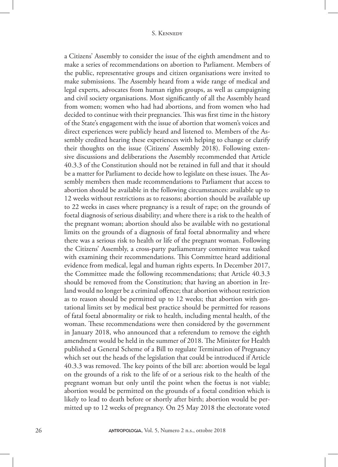a Citizens' Assembly to consider the issue of the eighth amendment and to make a series of recommendations on abortion to Parliament. Members of the public, representative groups and citizen organisations were invited to make submissions. The Assembly heard from a wide range of medical and legal experts, advocates from human rights groups, as well as campaigning and civil society organisations. Most significantly of all the Assembly heard from women; women who had had abortions, and from women who had decided to continue with their pregnancies. This was first time in the history of the State's engagement with the issue of abortion that women's voices and direct experiences were publicly heard and listened to. Members of the Assembly credited hearing these experiences with helping to change or clarify their thoughts on the issue (Citizens' Assembly 2018). Following extensive discussions and deliberations the Assembly recommended that Article 40.3.3 of the Constitution should not be retained in full and that it should be a matter for Parliament to decide how to legislate on these issues. The Assembly members then made recommendations to Parliament that access to abortion should be available in the following circumstances: available up to 12 weeks without restrictions as to reasons; abortion should be available up to 22 weeks in cases where pregnancy is a result of rape; on the grounds of foetal diagnosis of serious disability; and where there is a risk to the health of the pregnant woman; abortion should also be available with no gestational limits on the grounds of a diagnosis of fatal foetal abnormality and where there was a serious risk to health or life of the pregnant woman. Following the Citizens' Assembly, a cross-party parliamentary committee was tasked with examining their recommendations. This Committee heard additional evidence from medical, legal and human rights experts. In December 2017, the Committee made the following recommendations; that Article 40.3.3 should be removed from the Constitution; that having an abortion in Ireland would no longer be a criminal offence; that abortion without restriction as to reason should be permitted up to 12 weeks; that abortion with gestational limits set by medical best practice should be permitted for reasons of fatal foetal abnormality or risk to health, including mental health, of the woman. These recommendations were then considered by the government in January 2018, who announced that a referendum to remove the eighth amendment would be held in the summer of 2018. The Minister for Health published a General Scheme of a Bill to regulate Termination of Pregnancy which set out the heads of the legislation that could be introduced if Article 40.3.3 was removed. The key points of the bill are: abortion would be legal on the grounds of a risk to the life of or a serious risk to the health of the pregnant woman but only until the point when the foetus is not viable; abortion would be permitted on the grounds of a foetal condition which is likely to lead to death before or shortly after birth; abortion would be permitted up to 12 weeks of pregnancy. On 25 May 2018 the electorate voted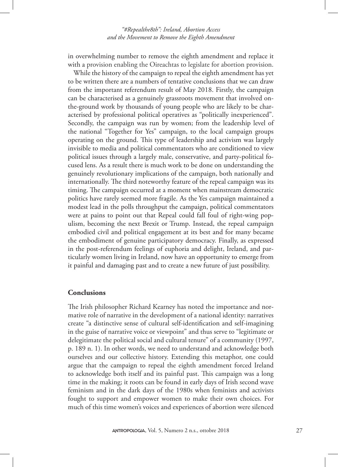in overwhelming number to remove the eighth amendment and replace it with a provision enabling the Oireachtas to legislate for abortion provision.

While the history of the campaign to repeal the eighth amendment has yet to be written there are a numbers of tentative conclusions that we can draw from the important referendum result of May 2018. Firstly, the campaign can be characterised as a genuinely grassroots movement that involved onthe-ground work by thousands of young people who are likely to be characterised by professional political operatives as "politically inexperienced". Secondly, the campaign was run by women; from the leadership level of the national "Together for Yes" campaign, to the local campaign groups operating on the ground. This type of leadership and activism was largely invisible to media and political commentators who are conditioned to view political issues through a largely male, conservative, and party-political focused lens. As a result there is much work to be done on understanding the genuinely revolutionary implications of the campaign, both nationally and internationally. The third noteworthy feature of the repeal campaign was its timing. The campaign occurred at a moment when mainstream democratic politics have rarely seemed more fragile. As the Yes campaign maintained a modest lead in the polls throughput the campaign, political commentators were at pains to point out that Repeal could fall foul of right-wing populism, becoming the next Brexit or Trump. Instead, the repeal campaign embodied civil and political engagement at its best and for many became the embodiment of genuine participatory democracy. Finally, as expressed in the post-referendum feelings of euphoria and delight, Ireland, and particularly women living in Ireland, now have an opportunity to emerge from it painful and damaging past and to create a new future of just possibility.

# **Conclusions**

The Irish philosopher Richard Kearney has noted the importance and normative role of narrative in the development of a national identity: narratives create "a distinctive sense of cultural self-identification and self-imagining in the guise of narrative voice or viewpoint" and thus serve to "legitimate or delegitimate the political social and cultural tenure" of a community (1997, p. 189 n. 1). In other words, we need to understand and acknowledge both ourselves and our collective history. Extending this metaphor, one could argue that the campaign to repeal the eighth amendment forced Ireland to acknowledge both itself and its painful past. This campaign was a long time in the making; it roots can be found in early days of Irish second wave feminism and in the dark days of the 1980s when feminists and activists fought to support and empower women to make their own choices. For much of this time women's voices and experiences of abortion were silenced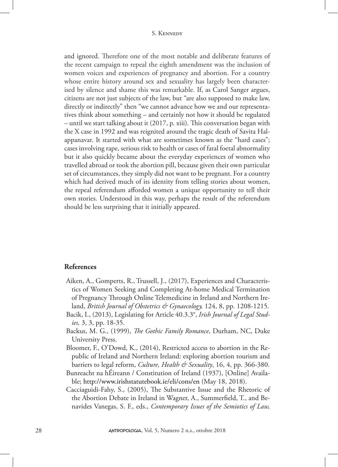and ignored. Therefore one of the most notable and deliberate features of the recent campaign to repeal the eighth amendment was the inclusion of women voices and experiences of pregnancy and abortion. For a country whose entire history around sex and sexuality has largely been characterised by silence and shame this was remarkable. If, as Carol Sanger argues, citizens are not just subjects of the law, but "are also supposed to make law, directly or indirectly" then "we cannot advance how we and our representatives think about something – and certainly not how it should be regulated – until we start talking about it (2017, p. xiii). This conversation began with the X case in 1992 and was reignited around the tragic death of Savita Halappanavar. It started with what are sometimes known as the "hard cases"; cases involving rape, serious risk to health or cases of fatal foetal abnormality but it also quickly became about the everyday experiences of women who travelled abroad or took the abortion pill, because given their own particular set of circumstances, they simply did not want to be pregnant. For a country which had derived much of its identity from telling stories about women, the repeal referendum afforded women a unique opportunity to tell their own stories. Understood in this way, perhaps the result of the referendum should be less surprising that it initially appeared.

## **References**

- Aiken, A., Gomperts, R., Trussell, J., (2017), Experiences and Characteristics of Women Seeking and Completing At-home Medical Termination of Pregnancy Through Online Telemedicine in Ireland and Northern Ireland, *British Journal of Obstetrics & Gynaecology,* 124, 8, pp. 1208-1215.
- Bacik, I., (2013), Legislating for Article 40.3.3°, *Irish Journal of Legal Studies,* 3, 3, pp. 18-35.
- Backus, M. G., (1999), *The Gothic Family Romance*, Durham, NC, Duke University Press.
- Bloomer, F., O'Dowd, K., (2014), Restricted access to abortion in the Republic of Ireland and Northern Ireland: exploring abortion tourism and barriers to legal reform, *Culture, Health & Sexuality*, 16, 4, pp. 366-380.
- Bunreacht na hÉireann / Constitution of Ireland (1937), [Online] Available; http://www.irishstatutebook.ie/eli/cons/en (May 18, 2018).
- Cacciaguidi-Fahy, S., (2005), The Substantive Issue and the Rhetoric of the Abortion Debate in Ireland in Wagner, A., Summerfield, T., and Benavides Vanegas, S. F., eds., *Contemporary Issues of the Semiotics of Law,*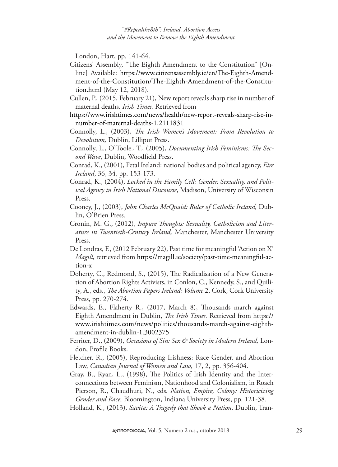London, Hart, pp. 141-64.

- Citizens' Assembly, "The Eighth Amendment to the Constitution" [Online] Available: https://www.citizensassembly.ie/en/The-Eighth-Amendment-of-the-Constitution/The-Eighth-Amendment-of-the-Constitution.html (May 12, 2018).
- Cullen, P., (2015, February 21), New report reveals sharp rise in number of maternal deaths. *Irish Times.* Retrieved from
- https://www.irishtimes.com/news/health/new-report-reveals-sharp-rise-innumber-of-maternal-deaths-1.2111831
- Connolly, L., (2003), *The Irish Women's Movement: From Revolution to Devolution,* Dublin, Lilliput Press.
- Connolly, L., O'Toole., T., (2005), *Documenting Irish Feminisms: The Second Wave*, Dublin, Woodfield Press.
- Conrad, K., (2001), Fetal Ireland: national bodies and political agency, *Eire Ireland*, 36, 34, pp. 153-173.
- Conrad, K., (2004), *Locked in the Family Cell: Gender, Sexuality, and Political Agency in Irish National Discourse*, Madison, University of Wisconsin Press.
- Cooney, J., (2003), *John Charles McQuaid: Ruler of Catholic Ireland,* Dublin, O'Brien Press.
- Cronin, M. G., (2012), *Impure Thoughts: Sexuality, Catholicism and Literature in Twentieth-Century Ireland,* Manchester, Manchester University Press.
- De Londras, F., (2012 February 22), Past time for meaningful 'Action on X' *Magill,* retrieved from https://magill.ie/society/past-time-meaningful-action-x
- Doherty, C., Redmond, S., (2015), The Radicalisation of a New Generation of Abortion Rights Activists, in Conlon, C., Kennedy, S., and Quility, A., eds., *The Abortion Papers Ireland: Volume* 2, Cork, Cork University Press, pp. 270-274.
- Edwards, E., Flaherty R., (2017, March 8), Thousands march against Eighth Amendment in Dublin, *The Irish Times.* Retrieved from https:// www.irishtimes.com/news/politics/thousands-march-against-eighthamendment-in-dublin-1.3002375
- Ferriter, D., (2009), *Occasions of Sin: Sex & Society in Modern Ireland,* London, Profile Books.
- Fletcher, R., (2005), Reproducing Irishness: Race Gender, and Abortion Law, *Canadian Journal of Women and Law*, 17, 2, pp. 356-404.
- Gray, B., Ryan, L., (1998), The Politics of Irish Identity and the Interconnections between Feminism, Nationhood and Colonialism, in Roach Pierson, R., Chaudhuri, N., eds. *Nation, Empire, Colony: Historicizing Gender and Race,* Bloomington, Indiana University Press, pp. 121-38.

Holland, K., (2013), *Savita: A Tragedy that Shook a Nation*, Dublin, Tran-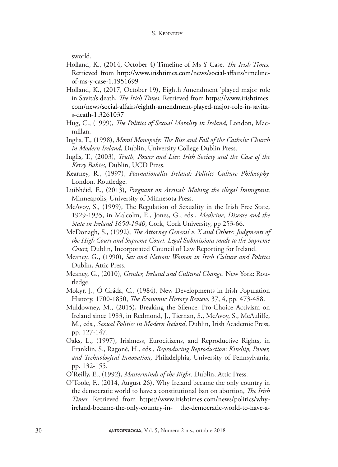sworld.

- Holland, K., (2014, October 4) Timeline of Ms Y Case, *The Irish Times.* Retrieved from http://www.irishtimes.com/news/social-affairs/timelineof-ms-y-case-1.1951699
- Holland, K., (2017, October 19), Eighth Amendment 'played major role in Savita's death, *The Irish Times.* Retrieved from https://www.irishtimes. com/news/social-affairs/eighth-amendment-played-major-role-in-savitas-death-1.3261037
- Hug, C., (1999), *The Politics of Sexual Morality in Ireland*, London, Macmillan.
- Inglis, T., (1998), *Moral Monopoly: The Rise and Fall of the Catholic Church in Modern Ireland*, Dublin, University College Dublin Press.
- Inglis, T., (2003), *Truth, Power and Lies: Irish Society and the Case of the Kerry Babies,* Dublin, UCD Press.
- Kearney, R., (1997), *Postnationalist Ireland: Politics Culture Philosophy,*  London, Routledge.
- Luibhéid, E., (2013), *Pregnant on Arrival: Making the illegal Immigrant*, Minneapolis, University of Minnesota Press.
- McAvoy, S., (1999), The Regulation of Sexuality in the Irish Free State, 1929-1935, in Malcolm, E., Jones, G., eds., *Medicine, Disease and the State in Ireland 1650-1940*, Cork, Cork University, pp 253-66.
- McDonagh, S., (1992), *The Attorney General v. X and Others: Judgments of the High Court and Supreme Court. Legal Submissions made to the Supreme Court,* Dublin, Incorporated Council of Law Reporting for Ireland.
- Meaney, G., (1990), *Sex and Nation: Women in Irish Culture and Politics* Dublin, Attic Press.
- Meaney, G., (2010), *Gender, Ireland and Cultural Change*. New York: Routledge.
- Mokyr, J., Ó Gráda, C., (1984), New Developments in Irish Population History, 1700-1850, *The Economic History Review,* 37, 4, pp. 473-488.
- Muldowney, M., (2015), Breaking the Silence: Pro-Choice Activism on Ireland since 1983, in Redmond, J., Tiernan, S., McAvoy, S., McAuliffe, M., eds., *Sexual Politics in Modern Ireland*, Dublin, Irish Academic Press, pp. 127-147.
- Oaks, L., (1997), Irishness, Eurocitizens, and Reproductive Rights, in Franklin, S., Ragoné, H., eds., *Reproducing Reproduction*: *Kinship, Power, and Technological Innovation,* Philadelphia, University of Pennsylvania, pp. 132-155.
- O'Reilly, E., (1992), *Masterminds of the Right,* Dublin, Attic Press.
- O'Toole, F., (2014, August 26), Why Ireland became the only country in the democratic world to have a constitutional ban on abortion, *The Irish Times.* Retrieved from https://www.irishtimes.com/news/politics/whyireland-became-the-only-country-in- the-democratic-world-to-have-a-